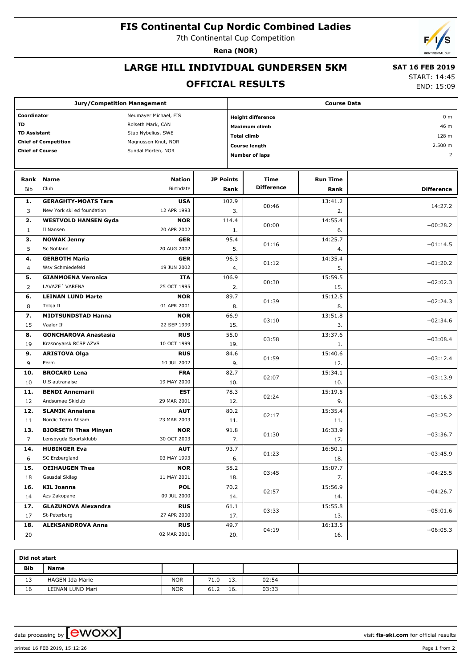# **FIS Continental Cup Nordic Combined Ladies**

7th Continental Cup Competition

**Rena (NOR)**

## **LARGE HILL INDIVIDUAL GUNDERSEN 5KM**

### **OFFICIAL RESULTS**

 **SAT 16 FEB 2019** START: 14:45

END: 15:09

| <b>Jury/Competition Management</b> |                             |                       |                  | <b>Course Data</b>                         |                       |                 |                   |  |
|------------------------------------|-----------------------------|-----------------------|------------------|--------------------------------------------|-----------------------|-----------------|-------------------|--|
| Coordinator                        |                             | Neumayer Michael, FIS |                  | <b>Height difference</b>                   | 0 <sub>m</sub>        |                 |                   |  |
| TD                                 |                             | Rolseth Mark, CAN     |                  |                                            | Maximum climb         | 46 m            |                   |  |
| <b>TD Assistant</b>                |                             | Stub Nybelius, SWE    |                  |                                            |                       | 128 m           |                   |  |
|                                    | <b>Chief of Competition</b> | Magnussen Knut, NOR   |                  | <b>Total climb</b><br><b>Course length</b> |                       |                 |                   |  |
| <b>Chief of Course</b>             |                             | Sundal Morten, NOR    |                  |                                            | 2.500 m               |                 |                   |  |
|                                    |                             |                       |                  |                                            | <b>Number of laps</b> |                 | $\overline{2}$    |  |
|                                    |                             |                       |                  |                                            |                       |                 |                   |  |
| Rank                               | <b>Name</b>                 | <b>Nation</b>         | <b>JP Points</b> |                                            | Time                  | <b>Run Time</b> |                   |  |
| Bib                                | Club                        | Birthdate             |                  | Rank                                       | <b>Difference</b>     | Rank            | <b>Difference</b> |  |
| 1.                                 | <b>GERAGHTY-MOATS Tara</b>  | <b>USA</b>            |                  | 102.9                                      | 00:46                 | 13:41.2         | 14:27.2           |  |
| 3                                  | New York ski ed foundation  | 12 APR 1993           |                  | 3.                                         |                       | 2.              |                   |  |
| 2.                                 | <b>WESTVOLD HANSEN Gyda</b> | <b>NOR</b>            |                  | 114.4                                      | 00:00                 | 14:55.4         | $+00:28.2$        |  |
| $\mathbf{1}$                       | Il Nansen                   | 20 APR 2002           |                  | 1.                                         |                       | 6.              |                   |  |
| з.                                 | <b>NOWAK Jenny</b>          | <b>GER</b>            |                  | 95.4                                       |                       | 14:25.7         |                   |  |
| 5                                  | Sc Sohland                  | 20 AUG 2002           |                  | 5.                                         | 01:16                 | 4.              | $+01:14.5$        |  |
| 4.                                 | <b>GERBOTH Maria</b>        | <b>GER</b>            |                  | 96.3                                       |                       | 14:35.4         |                   |  |
| 4                                  | Wsv Schmiedefeld            | 19 JUN 2002           |                  | 4.                                         | 01:12                 | 5.              | $+01:20.2$        |  |
| 5.                                 | <b>GIANMOENA Veronica</b>   | ITA                   |                  | 106.9                                      |                       | 15:59.5         |                   |  |
| 2                                  | LAVAZE 'VARENA              | 25 OCT 1995           |                  | 2.                                         | 00:30                 | 15.             | $+02:02.3$        |  |
| 6.                                 | <b>LEINAN LUND Marte</b>    | <b>NOR</b>            |                  | 89.7                                       |                       | 15:12.5         |                   |  |
| 8                                  | Tolga Il                    | 01 APR 2001           |                  | 8.                                         | 01:39                 | 8.              | $+02:24.3$        |  |
| 7.                                 | <b>MIDTSUNDSTAD Hanna</b>   | <b>NOR</b>            |                  | 66.9                                       |                       | 13:51.8         |                   |  |
| 15                                 | Vaaler If                   | 22 SEP 1999           |                  | 15.                                        | 03:10                 | 3.              | $+02:34.6$        |  |
| 8.                                 | <b>GONCHAROVA Anastasia</b> | <b>RUS</b>            |                  | 55.0                                       |                       | 13:37.6         |                   |  |
| 19                                 | Krasnoyarsk RCSP AZVS       | 10 OCT 1999           |                  | 19.                                        | 03:58                 | 1.              | $+03:08.4$        |  |
| 9.                                 | <b>ARISTOVA Olga</b>        | <b>RUS</b>            |                  | 84.6                                       |                       | 15:40.6         |                   |  |
| 9                                  | Perm                        | 10 JUL 2002           |                  | 9.                                         | 01:59                 | 12.             | $+03:12.4$        |  |
| 10.                                | <b>BROCARD Lena</b>         | <b>FRA</b>            |                  | 82.7                                       |                       | 15:34.1         |                   |  |
| 10                                 | U.S autranaise              | 19 MAY 2000           |                  | 10.                                        | 02:07                 | 10.             | $+03:13.9$        |  |
| 11.                                | <b>BENDI Annemarii</b>      | <b>EST</b>            |                  | 78.3                                       |                       | 15:19.5         |                   |  |
| 12                                 | Andsumae Skiclub            | 29 MAR 2001           |                  | 12.                                        | 02:24                 | 9.              | $+03:16.3$        |  |
| 12.                                | <b>SLAMIK Annalena</b>      | <b>AUT</b>            |                  | 80.2                                       |                       | 15:35.4         |                   |  |
| 11                                 | Nordic Team Absam           | 23 MAR 2003           |                  | 11.                                        | 02:17                 | 11.             | $+03:25.2$        |  |
| 13.                                | <b>BJORSETH Thea Minyan</b> | <b>NOR</b>            |                  | 91.8                                       |                       | 16:33.9         |                   |  |
| 7                                  |                             | 30 OCT 2003           |                  |                                            | 01:30                 |                 | $+03:36.7$        |  |
|                                    | Lensbygda Sportsklubb       |                       |                  | 7.                                         |                       | 17.             |                   |  |
| 14.                                | <b>HUBINGER Eva</b>         | <b>AUT</b>            |                  | 93.7                                       | 01:23                 | 16:50.1         | $+03:45.9$        |  |
| 6                                  | SC Erzbergland              | 03 MAY 1993           |                  | 6.                                         |                       | 18.             |                   |  |
| 15.                                | <b>OEIHAUGEN Thea</b>       | <b>NOR</b>            |                  | 58.2                                       | 03:45                 | 15:07.7         | $+04:25.5$        |  |
| 18                                 | Gausdal Skilag              | 11 MAY 2001           |                  | 18.                                        |                       | 7.              |                   |  |
| 16.                                | <b>KIL Joanna</b>           | <b>POL</b>            |                  | 70.2                                       | 02:57                 | 15:56.9         | $+04:26.7$        |  |
| 14                                 | Azs Zakopane                | 09 JUL 2000           |                  | 14.                                        |                       | 14.             |                   |  |
| 17.                                | <b>GLAZUNOVA Alexandra</b>  | <b>RUS</b>            |                  | 61.1                                       | 03:33                 | 15:55.8         | $+05:01.6$        |  |
| 17                                 | St-Peterburg                | 27 APR 2000           |                  | 17.                                        |                       | 13.             |                   |  |
| 18.                                | <b>ALEKSANDROVA Anna</b>    | <b>RUS</b>            |                  | 49.7                                       | 04:19                 | 16:13.5         | $+06:05.3$        |  |
| 20                                 |                             | 02 MAR 2001           |                  | 20.                                        |                       | 16.             |                   |  |

| Did not start |                  |            |             |       |  |  |  |
|---------------|------------------|------------|-------------|-------|--|--|--|
| <b>Bib</b>    | <b>Name</b>      |            |             |       |  |  |  |
| 13            | HAGEN Ida Marie  | <b>NOR</b> | 13.<br>71.0 | 02:54 |  |  |  |
| 16            | LEINAN LUND Mari | <b>NOR</b> | 61.2<br>16. | 03:33 |  |  |  |

data processing by  $\boxed{\text{ewOX}}$ 

printed 16 FEB 2019, 15:12:26 Page 1 from 2